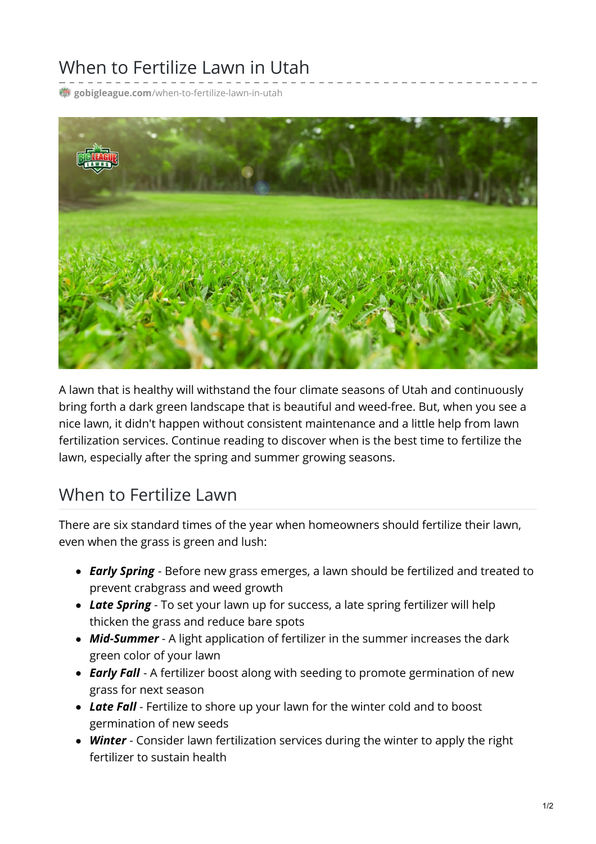## When to Fertilize Lawn in Utah

**gobigleague.com**[/when-to-fertilize-lawn-in-utah](https://gobigleague.com/when-to-fertilize-lawn-in-utah/)



A lawn that is healthy will withstand the four climate seasons of Utah and continuously bring forth a dark green landscape that is beautiful and weed-free. But, when you see a nice lawn, it didn't happen without consistent maintenance and a little help from lawn fertilization services. Continue reading to discover when is the best time to fertilize the lawn, especially after the spring and summer growing seasons.

## When to Fertilize Lawn

There are six standard times of the year when homeowners should fertilize their lawn, even when the grass is green and lush:

- *Early Spring* Before new grass emerges, a lawn should be fertilized and treated to prevent crabgrass and weed growth
- *Late Spring* To set your lawn up for success, a late spring fertilizer will help thicken the grass and reduce bare spots
- *Mid-Summer* A light application of fertilizer in the summer increases the dark green color of your lawn
- *Early Fall* A fertilizer boost along with seeding to promote germination of new grass for next season
- *Late Fall* Fertilize to shore up your lawn for the winter cold and to boost germination of new seeds
- *Winter* Consider lawn fertilization services during the winter to apply the right fertilizer to sustain health